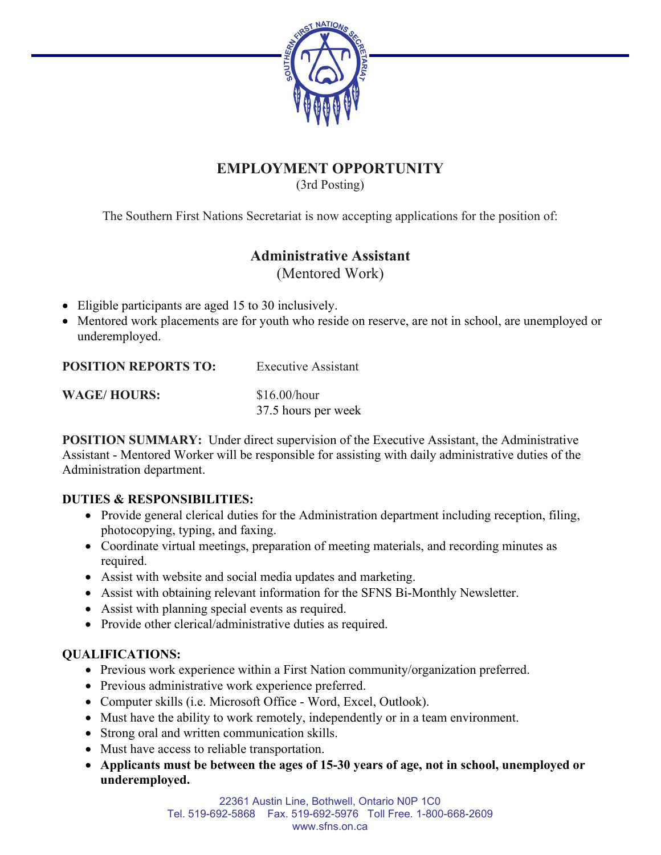

# **EMPLOYMENT OPPORTUNITY**

(3rd Posting)

The Southern First Nations Secretariat is now accepting applications for the position of:

# **Administrative Assistant**

(Mentored Work)

- Eligible participants are aged 15 to 30 inclusively.
- Mentored work placements are for youth who reside on reserve, are not in school, are unemployed or underemployed.

**POSITION REPORTS TO:** Executive Assistant

**WAGE/HOURS:** \$16.00/hour

37.5 hours per week

**POSITION SUMMARY:** Under direct supervision of the Executive Assistant, the Administrative Assistant - Mentored Worker will be responsible for assisting with daily administrative duties of the Administration department.

### **DUTIES & RESPONSIBILITIES:**

- Provide general clerical duties for the Administration department including reception, filing, photocopying, typing, and faxing.
- Coordinate virtual meetings, preparation of meeting materials, and recording minutes as required.
- Assist with website and social media updates and marketing.
- Assist with obtaining relevant information for the SFNS Bi-Monthly Newsletter.
- Assist with planning special events as required.
- Provide other clerical/administrative duties as required.

## **QUALIFICATIONS:**

- Previous work experience within a First Nation community/organization preferred.
- Previous administrative work experience preferred.
- Computer skills (i.e. Microsoft Office Word, Excel, Outlook).
- Must have the ability to work remotely, independently or in a team environment.
- Strong oral and written communication skills.
- Must have access to reliable transportation.
- **Applicants must be between the ages of 15-30 years of age, not in school, unemployed or underemployed.**